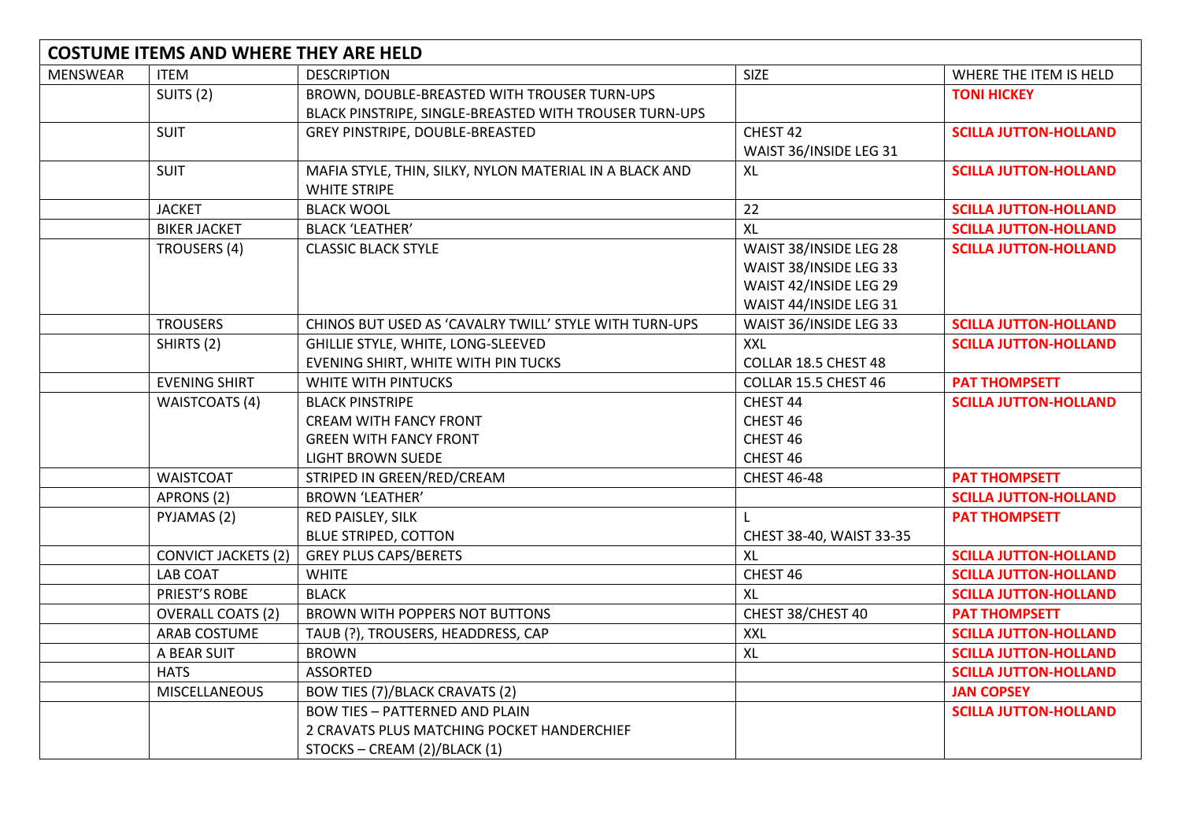| <b>COSTUME ITEMS AND WHERE THEY ARE HELD</b> |                            |                                                                                |                          |                              |
|----------------------------------------------|----------------------------|--------------------------------------------------------------------------------|--------------------------|------------------------------|
| <b>MENSWEAR</b>                              | <b>ITEM</b>                | <b>DESCRIPTION</b>                                                             | <b>SIZE</b>              | WHERE THE ITEM IS HELD       |
|                                              | SUITS <sub>(2)</sub>       | BROWN, DOUBLE-BREASTED WITH TROUSER TURN-UPS                                   |                          | <b>TONI HICKEY</b>           |
|                                              |                            | BLACK PINSTRIPE, SINGLE-BREASTED WITH TROUSER TURN-UPS                         |                          |                              |
|                                              | <b>SUIT</b>                | GREY PINSTRIPE, DOUBLE-BREASTED                                                | CHEST 42                 | <b>SCILLA JUTTON-HOLLAND</b> |
|                                              |                            |                                                                                | WAIST 36/INSIDE LEG 31   |                              |
|                                              | <b>SUIT</b>                | MAFIA STYLE, THIN, SILKY, NYLON MATERIAL IN A BLACK AND<br><b>WHITE STRIPE</b> | XL                       | <b>SCILLA JUTTON-HOLLAND</b> |
|                                              | <b>JACKET</b>              | <b>BLACK WOOL</b>                                                              | 22                       | <b>SCILLA JUTTON-HOLLAND</b> |
|                                              | <b>BIKER JACKET</b>        | <b>BLACK 'LEATHER'</b>                                                         | <b>XL</b>                | <b>SCILLA JUTTON-HOLLAND</b> |
|                                              | <b>TROUSERS (4)</b>        | <b>CLASSIC BLACK STYLE</b>                                                     | WAIST 38/INSIDE LEG 28   | <b>SCILLA JUTTON-HOLLAND</b> |
|                                              |                            |                                                                                | WAIST 38/INSIDE LEG 33   |                              |
|                                              |                            |                                                                                | WAIST 42/INSIDE LEG 29   |                              |
|                                              |                            |                                                                                | WAIST 44/INSIDE LEG 31   |                              |
|                                              | <b>TROUSERS</b>            | CHINOS BUT USED AS 'CAVALRY TWILL' STYLE WITH TURN-UPS                         | WAIST 36/INSIDE LEG 33   | <b>SCILLA JUTTON-HOLLAND</b> |
|                                              | SHIRTS (2)                 | GHILLIE STYLE, WHITE, LONG-SLEEVED                                             | <b>XXL</b>               | <b>SCILLA JUTTON-HOLLAND</b> |
|                                              |                            | EVENING SHIRT, WHITE WITH PIN TUCKS                                            | COLLAR 18.5 CHEST 48     |                              |
|                                              | <b>EVENING SHIRT</b>       | WHITE WITH PINTUCKS                                                            | COLLAR 15.5 CHEST 46     | <b>PAT THOMPSETT</b>         |
|                                              | <b>WAISTCOATS (4)</b>      | <b>BLACK PINSTRIPE</b>                                                         | CHEST 44                 | <b>SCILLA JUTTON-HOLLAND</b> |
|                                              |                            | <b>CREAM WITH FANCY FRONT</b>                                                  | CHEST 46                 |                              |
|                                              |                            | <b>GREEN WITH FANCY FRONT</b>                                                  | CHEST 46                 |                              |
|                                              |                            | <b>LIGHT BROWN SUEDE</b>                                                       | CHEST 46                 |                              |
|                                              | <b>WAISTCOAT</b>           | STRIPED IN GREEN/RED/CREAM                                                     | <b>CHEST 46-48</b>       | <b>PAT THOMPSETT</b>         |
|                                              | APRONS (2)                 | <b>BROWN 'LEATHER'</b>                                                         |                          | <b>SCILLA JUTTON-HOLLAND</b> |
|                                              | PYJAMAS (2)                | RED PAISLEY, SILK                                                              |                          | <b>PAT THOMPSETT</b>         |
|                                              |                            | <b>BLUE STRIPED, COTTON</b>                                                    | CHEST 38-40, WAIST 33-35 |                              |
|                                              | <b>CONVICT JACKETS (2)</b> | <b>GREY PLUS CAPS/BERETS</b>                                                   | XL                       | <b>SCILLA JUTTON-HOLLAND</b> |
|                                              | <b>LAB COAT</b>            | <b>WHITE</b>                                                                   | CHEST 46                 | <b>SCILLA JUTTON-HOLLAND</b> |
|                                              | PRIEST'S ROBE              | <b>BLACK</b>                                                                   | XL                       | <b>SCILLA JUTTON-HOLLAND</b> |
|                                              | <b>OVERALL COATS (2)</b>   | BROWN WITH POPPERS NOT BUTTONS                                                 | CHEST 38/CHEST 40        | <b>PAT THOMPSETT</b>         |
|                                              | ARAB COSTUME               | TAUB (?), TROUSERS, HEADDRESS, CAP                                             | <b>XXL</b>               | <b>SCILLA JUTTON-HOLLAND</b> |
|                                              | A BEAR SUIT                | <b>BROWN</b>                                                                   | XL                       | <b>SCILLA JUTTON-HOLLAND</b> |
|                                              | <b>HATS</b>                | <b>ASSORTED</b>                                                                |                          | <b>SCILLA JUTTON-HOLLAND</b> |
|                                              | <b>MISCELLANEOUS</b>       | BOW TIES (7)/BLACK CRAVATS (2)                                                 |                          | <b>JAN COPSEY</b>            |
|                                              |                            | <b>BOW TIES - PATTERNED AND PLAIN</b>                                          |                          | <b>SCILLA JUTTON-HOLLAND</b> |
|                                              |                            | 2 CRAVATS PLUS MATCHING POCKET HANDERCHIEF                                     |                          |                              |
|                                              |                            | STOCKS - CREAM (2)/BLACK (1)                                                   |                          |                              |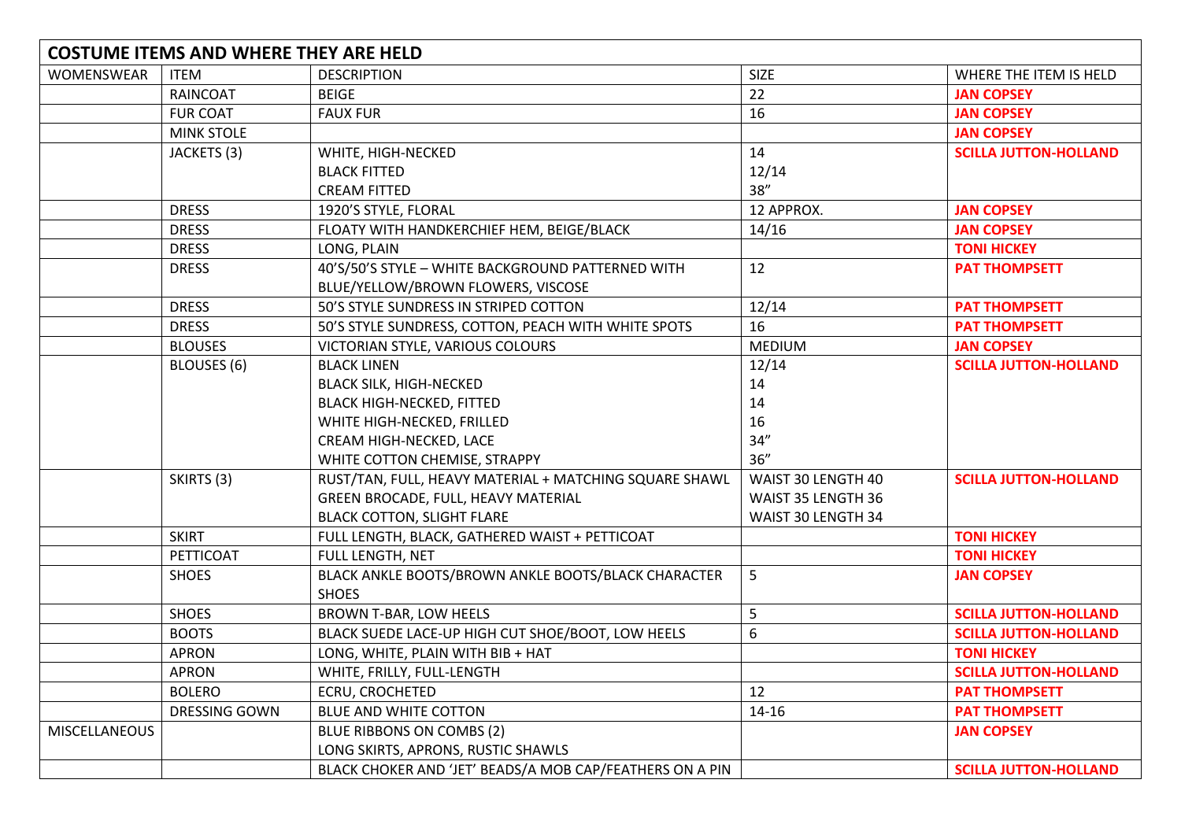| <b>COSTUME ITEMS AND WHERE THEY ARE HELD</b> |                   |                                                                     |                    |                              |
|----------------------------------------------|-------------------|---------------------------------------------------------------------|--------------------|------------------------------|
| WOMENSWEAR                                   | <b>ITEM</b>       | <b>DESCRIPTION</b>                                                  | <b>SIZE</b>        | WHERE THE ITEM IS HELD       |
|                                              | <b>RAINCOAT</b>   | <b>BEIGE</b>                                                        | 22                 | <b>JAN COPSEY</b>            |
|                                              | <b>FUR COAT</b>   | <b>FAUX FUR</b>                                                     | 16                 | <b>JAN COPSEY</b>            |
|                                              | <b>MINK STOLE</b> |                                                                     |                    | <b>JAN COPSEY</b>            |
|                                              | JACKETS (3)       | WHITE, HIGH-NECKED                                                  | 14                 | <b>SCILLA JUTTON-HOLLAND</b> |
|                                              |                   | <b>BLACK FITTED</b>                                                 | 12/14              |                              |
|                                              |                   | <b>CREAM FITTED</b>                                                 | 38''               |                              |
|                                              | <b>DRESS</b>      | 1920'S STYLE, FLORAL                                                | 12 APPROX.         | <b>JAN COPSEY</b>            |
|                                              | <b>DRESS</b>      | FLOATY WITH HANDKERCHIEF HEM, BEIGE/BLACK                           | 14/16              | <b>JAN COPSEY</b>            |
|                                              | <b>DRESS</b>      | LONG, PLAIN                                                         |                    | <b>TONI HICKEY</b>           |
|                                              | <b>DRESS</b>      | 40'S/50'S STYLE - WHITE BACKGROUND PATTERNED WITH                   | 12                 | <b>PAT THOMPSETT</b>         |
|                                              |                   | BLUE/YELLOW/BROWN FLOWERS, VISCOSE                                  |                    |                              |
|                                              | <b>DRESS</b>      | 50'S STYLE SUNDRESS IN STRIPED COTTON                               | 12/14              | <b>PAT THOMPSETT</b>         |
|                                              | <b>DRESS</b>      | 50'S STYLE SUNDRESS, COTTON, PEACH WITH WHITE SPOTS                 | 16                 | <b>PAT THOMPSETT</b>         |
|                                              | <b>BLOUSES</b>    | VICTORIAN STYLE, VARIOUS COLOURS                                    | <b>MEDIUM</b>      | <b>JAN COPSEY</b>            |
|                                              | BLOUSES (6)       | <b>BLACK LINEN</b>                                                  | 12/14              | <b>SCILLA JUTTON-HOLLAND</b> |
|                                              |                   | <b>BLACK SILK, HIGH-NECKED</b>                                      | 14                 |                              |
|                                              |                   | <b>BLACK HIGH-NECKED, FITTED</b>                                    | 14                 |                              |
|                                              |                   | WHITE HIGH-NECKED, FRILLED                                          | 16                 |                              |
|                                              |                   | CREAM HIGH-NECKED, LACE                                             | 34''               |                              |
|                                              |                   | WHITE COTTON CHEMISE, STRAPPY                                       | 36''               |                              |
|                                              | SKIRTS (3)        | RUST/TAN, FULL, HEAVY MATERIAL + MATCHING SQUARE SHAWL              | WAIST 30 LENGTH 40 | <b>SCILLA JUTTON-HOLLAND</b> |
|                                              |                   | GREEN BROCADE, FULL, HEAVY MATERIAL                                 | WAIST 35 LENGTH 36 |                              |
|                                              |                   | <b>BLACK COTTON, SLIGHT FLARE</b>                                   | WAIST 30 LENGTH 34 |                              |
|                                              | <b>SKIRT</b>      | FULL LENGTH, BLACK, GATHERED WAIST + PETTICOAT                      |                    | <b>TONI HICKEY</b>           |
|                                              | PETTICOAT         | FULL LENGTH, NET                                                    |                    | <b>TONI HICKEY</b>           |
|                                              | <b>SHOES</b>      | BLACK ANKLE BOOTS/BROWN ANKLE BOOTS/BLACK CHARACTER<br><b>SHOES</b> | 5                  | <b>JAN COPSEY</b>            |
|                                              | <b>SHOES</b>      | BROWN T-BAR, LOW HEELS                                              | 5                  | <b>SCILLA JUTTON-HOLLAND</b> |
|                                              | <b>BOOTS</b>      | BLACK SUEDE LACE-UP HIGH CUT SHOE/BOOT, LOW HEELS                   | 6                  | <b>SCILLA JUTTON-HOLLAND</b> |
|                                              | <b>APRON</b>      | LONG, WHITE, PLAIN WITH BIB + HAT                                   |                    | <b>TONI HICKEY</b>           |
|                                              | <b>APRON</b>      | WHITE, FRILLY, FULL-LENGTH                                          |                    | <b>SCILLA JUTTON-HOLLAND</b> |
|                                              | <b>BOLERO</b>     | <b>ECRU, CROCHETED</b>                                              | 12                 | <b>PAT THOMPSETT</b>         |
|                                              | DRESSING GOWN     | BLUE AND WHITE COTTON                                               | 14-16              | <b>PAT THOMPSETT</b>         |
| MISCELLANEOUS                                |                   | BLUE RIBBONS ON COMBS (2)                                           |                    | <b>JAN COPSEY</b>            |
|                                              |                   | LONG SKIRTS, APRONS, RUSTIC SHAWLS                                  |                    |                              |
|                                              |                   | BLACK CHOKER AND 'JET' BEADS/A MOB CAP/FEATHERS ON A PIN            |                    | <b>SCILLA JUTTON-HOLLAND</b> |